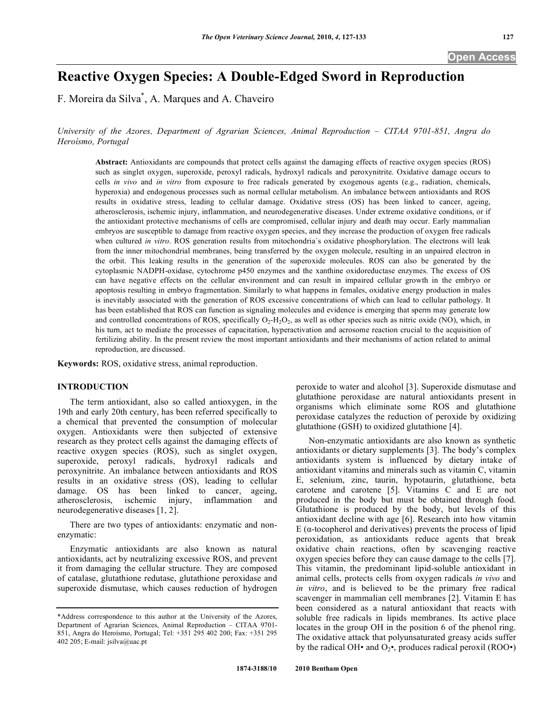# **Reactive Oxygen Species: A Double-Edged Sword in Reproduction**

F. Moreira da Silva\* , A. Marques and A. Chaveiro

*University of the Azores, Department of Agrarian Sciences, Animal Reproduction – CITAA 9701-851, Angra do Heroísmo, Portugal* 

**Abstract:** Antioxidants are compounds that protect cells against the damaging effects of reactive oxygen species (ROS) such as singlet oxygen, superoxide, peroxyl radicals, hydroxyl radicals and peroxynitrite. Oxidative damage occurs to cells *in vivo* and *in vitro* from exposure to free radicals generated by exogenous agents (e.g., radiation, chemicals, hyperoxia) and endogenous processes such as normal cellular metabolism. An imbalance between antioxidants and ROS results in oxidative stress, leading to cellular damage. Oxidative stress (OS) has been linked to cancer, ageing, atherosclerosis, ischemic injury, inflammation, and neurodegenerative diseases. Under extreme oxidative conditions, or if the antioxidant protective mechanisms of cells are compromised, cellular injury and death may occur. Early mammalian embryos are susceptible to damage from reactive oxygen species, and they increase the production of oxygen free radicals when cultured *in vitro*. ROS generation results from mitochondria's oxidative phosphorylation. The electrons will leak from the inner mitochondrial membranes, being transferred by the oxygen molecule, resulting in an unpaired electron in the orbit. This leaking results in the generation of the superoxide molecules. ROS can also be generated by the cytoplasmic NADPH-oxidase, cytochrome p450 enzymes and the xanthine oxidoreductase enzymes. The excess of OS can have negative effects on the cellular environment and can result in impaired cellular growth in the embryo or apoptosis resulting in embryo fragmentation. Similarly to what happens in females, oxidative energy production in males is inevitably associated with the generation of ROS excessive concentrations of which can lead to cellular pathology. It has been established that ROS can function as signaling molecules and evidence is emerging that sperm may generate low and controlled concentrations of ROS, specifically  $O_2$ -H<sub>2</sub>O<sub>2</sub>, as well as other species such as nitric oxide (NO), which, in his turn, act to mediate the processes of capacitation, hyperactivation and acrosome reaction crucial to the acquisition of fertilizing ability. In the present review the most important antioxidants and their mechanisms of action related to animal reproduction, are discussed.

**Keywords:** ROS, oxidative stress, animal reproduction.

# **INTRODUCTION**

 The term antioxidant, also so called antioxygen, in the 19th and early 20th century, has been referred specifically to a chemical that prevented the consumption of molecular oxygen. Antioxidants were then subjected of extensive research as they protect cells against the damaging effects of reactive oxygen species (ROS), such as singlet oxygen, superoxide, peroxyl radicals, hydroxyl radicals and peroxynitrite. An imbalance between antioxidants and ROS results in an oxidative stress (OS), leading to cellular damage. OS has been linked to cancer, ageing, atherosclerosis, ischemic injury, inflammation and neurodegenerative diseases [1, 2].

 There are two types of antioxidants: enzymatic and nonenzymatic:

 Enzymatic antioxidants are also known as natural antioxidants, act by neutralizing excessive ROS, and prevent it from damaging the cellular structure. They are composed of catalase, glutathione redutase, glutathione peroxidase and superoxide dismutase, which causes reduction of hydrogen

peroxide to water and alcohol [3]. Superoxide dismutase and glutathione peroxidase are natural antioxidants present in organisms which eliminate some ROS and glutathione peroxidase catalyzes the reduction of peroxide by oxidizing glutathione (GSH) to oxidized glutathione [4].

 Non-enzymatic antioxidants are also known as synthetic antioxidants or dietary supplements [3]. The body's complex antioxidants system is influenced by dietary intake of antioxidant vitamins and minerals such as vitamin C, vitamin E, selenium, zinc, taurin, hypotaurin, glutathione, beta carotene and carotene [5]. Vitamins C and E are not produced in the body but must be obtained through food. Glutathione is produced by the body, but levels of this antioxidant decline with age [6]. Research into how vitamin  $E$  ( $\alpha$ -tocopherol and derivatives) prevents the process of lipid peroxidation, as antioxidants reduce agents that break oxidative chain reactions, often by scavenging reactive oxygen species before they can cause damage to the cells [7]. This vitamin, the predominant lipid-soluble antioxidant in animal cells, protects cells from oxygen radicals *in vivo* and *in vitro*, and is believed to be the primary free radical scavenger in mammalian cell membranes [2]. Vitamin E has been considered as a natural antioxidant that reacts with soluble free radicals in lipids membranes. Its active place locates in the group OH in the position 6 of the phenol ring. The oxidative attack that polyunsaturated greasy acids suffer by the radical OH• and  $O_2$ •, produces radical peroxil (ROO•)

<sup>\*</sup>Address correspondence to this author at the University of the Azores, Department of Agrarian Sciences, Animal Reproduction – CITAA 9701- 851, Angra do Heroísmo, Portugal; Tel: +351 295 402 200; Fax: +351 295 402 205; E-mail: jsilva@uac.pt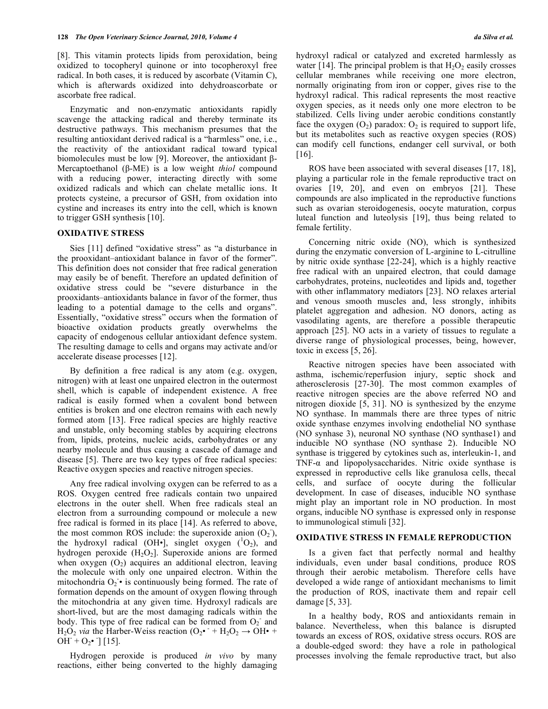[8]. This vitamin protects lipids from peroxidation, being oxidized to tocopheryl quinone or into tocopheroxyl free radical. In both cases, it is reduced by ascorbate (Vitamin C), which is afterwards oxidized into dehydroascorbate or ascorbate free radical.

 Enzymatic and non-enzymatic antioxidants rapidly scavenge the attacking radical and thereby terminate its destructive pathways. This mechanism presumes that the resulting antioxidant derived radical is a "harmless" one, i.e., the reactivity of the antioxidant radical toward typical biomolecules must be low [9]. Moreover, the antioxidant  $\beta$ -Mercaptoethanol  $(\beta-ME)$  is a low weight *thiol* compound with a reducing power, interacting directly with some oxidized radicals and which can chelate metallic ions. It protects cysteine, a precursor of GSH, from oxidation into cystine and increases its entry into the cell, which is known to trigger GSH synthesis [10].

### **OXIDATIVE STRESS**

 Sies [11] defined "oxidative stress" as "a disturbance in the prooxidant–antioxidant balance in favor of the former". This definition does not consider that free radical generation may easily be of benefit. Therefore an updated definition of oxidative stress could be "severe disturbance in the prooxidants–antioxidants balance in favor of the former, thus leading to a potential damage to the cells and organs". Essentially, "oxidative stress" occurs when the formation of bioactive oxidation products greatly overwhelms the capacity of endogenous cellular antioxidant defence system. The resulting damage to cells and organs may activate and/or accelerate disease processes [12].

 By definition a free radical is any atom (e.g. oxygen, nitrogen) with at least one unpaired electron in the outermost shell, which is capable of independent existence. A free radical is easily formed when a covalent bond between entities is broken and one electron remains with each newly formed atom [13]. Free radical species are highly reactive and unstable, only becoming stables by acquiring electrons from, lipids, proteins, nucleic acids, carbohydrates or any nearby molecule and thus causing a cascade of damage and disease [5]. There are two key types of free radical species: Reactive oxygen species and reactive nitrogen species.

 Any free radical involving oxygen can be referred to as a ROS. Oxygen centred free radicals contain two unpaired electrons in the outer shell. When free radicals steal an electron from a surrounding compound or molecule a new free radical is formed in its place [14]. As referred to above, the most common ROS include: the superoxide anion  $(O_2)$ , the hydroxyl radical (OH•], singlet oxygen  $(^1O_2)$ , and hydrogen peroxide  $(H_2O_2)$ . Superoxide anions are formed when oxygen  $(O<sub>2</sub>)$  acquires an additional electron, leaving the molecule with only one unpaired electron. Within the mitochondria  $O_2$  • is continuously being formed. The rate of formation depends on the amount of oxygen flowing through the mitochondria at any given time. Hydroxyl radicals are short-lived, but are the most damaging radicals within the body. This type of free radical can be formed from  $O_2$  and  $H_2O_2$  *via* the Harber-Weiss reaction  $(O_2 \cdot + H_2O_2 \rightarrow OH \cdot +$  $OH + O<sub>2</sub>$  [15].

 Hydrogen peroxide is produced *in vivo* by many reactions, either being converted to the highly damaging hydroxyl radical or catalyzed and excreted harmlessly as water [14]. The principal problem is that  $H_2O_2$  easily crosses cellular membranes while receiving one more electron, normally originating from iron or copper, gives rise to the hydroxyl radical. This radical represents the most reactive oxygen species, as it needs only one more electron to be stabilized. Cells living under aerobic conditions constantly face the oxygen  $(O_2)$  paradox:  $O_2$  is required to support life, but its metabolites such as reactive oxygen species (ROS) can modify cell functions, endanger cell survival, or both [16].

 ROS have been associated with several diseases [17, 18], playing a particular role in the female reproductive tract on ovaries [19, 20], and even on embryos [21]. These compounds are also implicated in the reproductive functions such as ovarian steroidogenesis, oocyte maturation, corpus luteal function and luteolysis [19], thus being related to female fertility.

 Concerning nitric oxide (NO), which is synthesized during the enzymatic conversion of L-arginine to L-citrulline by nitric oxide synthase [22-24], which is a highly reactive free radical with an unpaired electron, that could damage carbohydrates, proteins, nucleotides and lipids and, together with other inflammatory mediators [23]. NO relaxes arterial and venous smooth muscles and, less strongly, inhibits platelet aggregation and adhesion. NO donors, acting as vasodilating agents, are therefore a possible therapeutic approach [25]. NO acts in a variety of tissues to regulate a diverse range of physiological processes, being, however, toxic in excess [5, 26].

 Reactive nitrogen species have been associated with asthma, ischemic/reperfusion injury, septic shock and atherosclerosis [27-30]. The most common examples of reactive nitrogen species are the above referred NO and nitrogen dioxide [5, 31]. NO is synthesized by the enzyme NO synthase. In mammals there are three types of nitric oxide synthase enzymes involving endothelial NO synthase (NO synhase 3), neuronal NO synthase (NO synthase1) and inducible NO synthase (NO synthase 2). Inducible NO synthase is triggered by cytokines such as, interleukin-1, and TNF- $\alpha$  and lipopolysaccharides. Nitric oxide synthase is expressed in reproductive cells like granulosa cells, thecal cells, and surface of oocyte during the follicular development. In case of diseases, inducible NO synthase might play an important role in NO production. In most organs, inducible NO synthase is expressed only in response to immunological stimuli [32].

# **OXIDATIVE STRESS IN FEMALE REPRODUCTION**

Is a given fact that perfectly normal and healthy individuals, even under basal conditions, produce ROS through their aerobic metabolism. Therefore cells have developed a wide range of antioxidant mechanisms to limit the production of ROS, inactivate them and repair cell damage [5, 33].

 In a healthy body, ROS and antioxidants remain in balance. Nevertheless, when this balance is disrupted towards an excess of ROS, oxidative stress occurs. ROS are a double-edged sword: they have a role in pathological processes involving the female reproductive tract, but also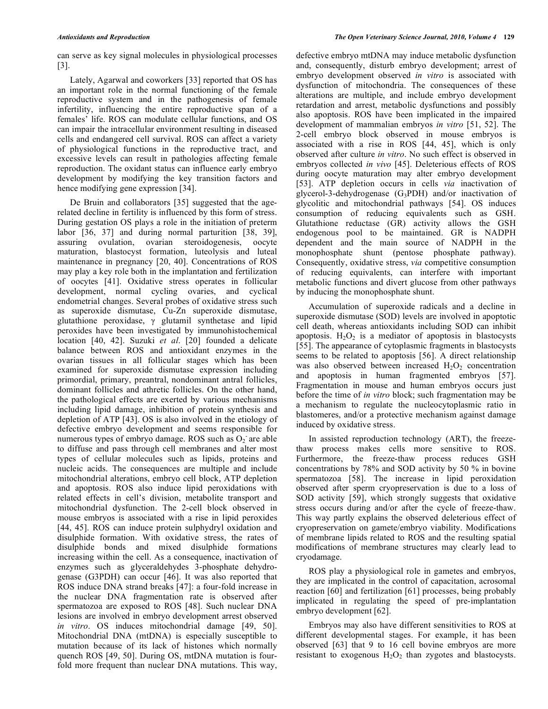can serve as key signal molecules in physiological processes [3].

 Lately, Agarwal and coworkers [33] reported that OS has an important role in the normal functioning of the female reproductive system and in the pathogenesis of female infertility, influencing the entire reproductive span of a females' life. ROS can modulate cellular functions, and OS can impair the intracellular environment resulting in diseased cells and endangered cell survival. ROS can affect a variety of physiological functions in the reproductive tract, and excessive levels can result in pathologies affecting female reproduction. The oxidant status can influence early embryo development by modifying the key transition factors and hence modifying gene expression [34].

 De Bruin and collaborators [35] suggested that the agerelated decline in fertility is influenced by this form of stress. During gestation OS plays a role in the initiation of preterm labor [36, 37] and during normal parturition [38, 39], assuring ovulation, ovarian steroidogenesis, oocyte maturation, blastocyst formation, luteolysis and luteal maintenance in pregnancy [20, 40]. Concentrations of ROS may play a key role both in the implantation and fertilization of oocytes [41]. Oxidative stress operates in follicular development, normal cycling ovaries, and cyclical endometrial changes. Several probes of oxidative stress such as superoxide dismutase, Cu-Zn superoxide dismutase, glutathione peroxidase,  $\gamma$  glutamil synthetase and lipid peroxides have been investigated by immunohistochemical location [40, 42]. Suzuki *et al*. [20] founded a delicate balance between ROS and antioxidant enzymes in the ovarian tissues in all follicular stages which has been examined for superoxide dismutase expression including primordial, primary, preantral, nondominant antral follicles, dominant follicles and athretic follicles. On the other hand, the pathological effects are exerted by various mechanisms including lipid damage, inhibition of protein synthesis and depletion of ATP [43]. OS is also involved in the etiology of defective embryo development and seems responsible for numerous types of embryo damage. ROS such as  $O_2$  are able to diffuse and pass through cell membranes and alter most types of cellular molecules such as lipids, proteins and nucleic acids. The consequences are multiple and include mitochondrial alterations, embryo cell block, ATP depletion and apoptosis. ROS also induce lipid peroxidations with related effects in cell's division, metabolite transport and mitochondrial dysfunction. The 2-cell block observed in mouse embryos is associated with a rise in lipid peroxides [44, 45]. ROS can induce protein sulphydryl oxidation and disulphide formation. With oxidative stress, the rates of disulphide bonds and mixed disulphide formations increasing within the cell. As a consequence, inactivation of enzymes such as glyceraldehydes 3-phosphate dehydrogenase (G3PDH) can occur [46]. It was also reported that ROS induce DNA strand breaks [47]: a four-fold increase in the nuclear DNA fragmentation rate is observed after spermatozoa are exposed to ROS [48]. Such nuclear DNA lesions are involved in embryo development arrest observed *in vitro*. OS induces mitochondrial damage [49, 50]. Mitochondrial DNA (mtDNA) is especially susceptible to mutation because of its lack of histones which normally quench ROS [49, 50]. During OS, mtDNA mutation is fourfold more frequent than nuclear DNA mutations. This way,

defective embryo mtDNA may induce metabolic dysfunction and, consequently, disturb embryo development; arrest of embryo development observed *in vitro* is associated with dysfunction of mitochondria. The consequences of these alterations are multiple, and include embryo development retardation and arrest, metabolic dysfunctions and possibly also apoptosis. ROS have been implicated in the impaired development of mammalian embryos *in vitro* [51, 52]. The 2-cell embryo block observed in mouse embryos is associated with a rise in ROS [44, 45], which is only observed after culture *in vitro*. No such effect is observed in embryos collected *in vivo* [45]. Deleterious effects of ROS during oocyte maturation may alter embryo development [53]. ATP depletion occurs in cells *via* inactivation of glycerol-3-dehydrogenase  $(G_3PDH)$  and/or inactivation of glycolitic and mitochondrial pathways [54]. OS induces consumption of reducing equivalents such as GSH. Glutathione reductase (GR) activity allows the GSH endogenous pool to be maintained. GR is NADPH dependent and the main source of NADPH in the monophosphate shunt (pentose phosphate pathway). Consequently, oxidative stress, *via* competitive consumption of reducing equivalents, can interfere with important metabolic functions and divert glucose from other pathways by inducing the monophosphate shunt.

 Accumulation of superoxide radicals and a decline in superoxide dismutase (SOD) levels are involved in apoptotic cell death, whereas antioxidants including SOD can inhibit apoptosis.  $H_2O_2$  is a mediator of apoptosis in blastocysts [55]. The appearance of cytoplasmic fragments in blastocysts seems to be related to apoptosis [56]. A direct relationship was also observed between increased  $H_2O_2$  concentration and apoptosis in human fragmented embryos [57]. Fragmentation in mouse and human embryos occurs just before the time of *in vitro* block; such fragmentation may be a mechanism to regulate the nucleocytoplasmic ratio in blastomeres, and/or a protective mechanism against damage induced by oxidative stress.

 In assisted reproduction technology (ART), the freezethaw process makes cells more sensitive to ROS. Furthermore, the freeze-thaw process reduces GSH concentrations by 78% and SOD activity by 50 % in bovine spermatozoa [58]. The increase in lipid peroxidation observed after sperm cryopreservation is due to a loss of SOD activity [59], which strongly suggests that oxidative stress occurs during and/or after the cycle of freeze-thaw. This way partly explains the observed deleterious effect of cryopreservation on gamete/embryo viability. Modifications of membrane lipids related to ROS and the resulting spatial modifications of membrane structures may clearly lead to cryodamage.

 ROS play a physiological role in gametes and embryos, they are implicated in the control of capacitation, acrosomal reaction [60] and fertilization [61] processes, being probably implicated in regulating the speed of pre-implantation embryo development [62].

 Embryos may also have different sensitivities to ROS at different developmental stages. For example, it has been observed [63] that 9 to 16 cell bovine embryos are more resistant to exogenous  $H_2O_2$  than zygotes and blastocysts.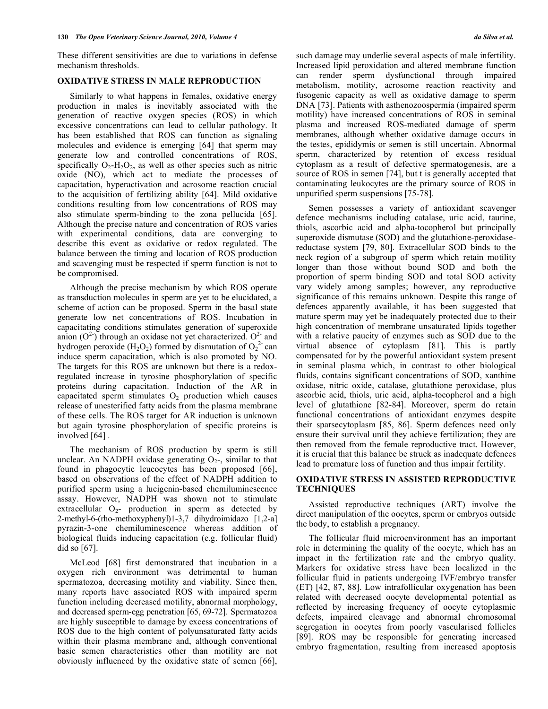These different sensitivities are due to variations in defense mechanism thresholds.

## **OXIDATIVE STRESS IN MALE REPRODUCTION**

Similarly to what happens in females, oxidative energy production in males is inevitably associated with the generation of reactive oxygen species (ROS) in which excessive concentrations can lead to cellular pathology. It has been established that ROS can function as signaling molecules and evidence is emerging [64] that sperm may generate low and controlled concentrations of ROS, specifically  $O_2$ -H<sub>2</sub>O<sub>2</sub>, as well as other species such as nitric oxide (NO), which act to mediate the processes of capacitation, hyperactivation and acrosome reaction crucial to the acquisition of fertilizing ability [64]. Mild oxidative conditions resulting from low concentrations of ROS may also stimulate sperm-binding to the zona pellucida [65]. Although the precise nature and concentration of ROS varies with experimental conditions, data are converging to describe this event as oxidative or redox regulated. The balance between the timing and location of ROS production and scavenging must be respected if sperm function is not to be compromised.

 Although the precise mechanism by which ROS operate as transduction molecules in sperm are yet to be elucidated, a scheme of action can be proposed. Sperm in the basal state generate low net concentrations of ROS. Incubation in capacitating conditions stimulates generation of superoxide anion  $(O<sup>2</sup>)$  through an oxidase not yet characterized.  $O<sup>2</sup>$  and hydrogen peroxide (H<sub>2</sub>O<sub>2</sub>) formed by dismutation of O<sub>2</sub><sup>2</sup> can induce sperm capacitation, which is also promoted by NO. The targets for this ROS are unknown but there is a redoxregulated increase in tyrosine phosphorylation of specific proteins during capacitation. Induction of the AR in capacitated sperm stimulates  $O_2$  production which causes release of unesterified fatty acids from the plasma membrane of these cells. The ROS target for AR induction is unknown but again tyrosine phosphorylation of specific proteins is involved [64] .

 The mechanism of ROS production by sperm is still unclear. An NADPH oxidase generating  $O<sub>2</sub>$ , similar to that found in phagocytic leucocytes has been proposed [66], based on observations of the effect of NADPH addition to purified sperm using a lucigenin-based chemiluminescence assay. However, NADPH was shown not to stimulate extracellular  $O_2$ - production in sperm as detected by 2-methyl-6-(rho-methoxyphenyl)1-3,7 dihydroimidazo [1,2-a] pyrazin-3-one chemiluminescence whereas addition of biological fluids inducing capacitation (e.g. follicular fluid) did so [67].

 McLeod [68] first demonstrated that incubation in a oxygen rich environment was detrimental to human spermatozoa, decreasing motility and viability. Since then, many reports have associated ROS with impaired sperm function including decreased motility, abnormal morphology, and decreased sperm-egg penetration [65, 69-72]. Spermatozoa are highly susceptible to damage by excess concentrations of ROS due to the high content of polyunsaturated fatty acids within their plasma membrane and, although conventional basic semen characteristics other than motility are not obviously influenced by the oxidative state of semen [66],

such damage may underlie several aspects of male infertility. Increased lipid peroxidation and altered membrane function can render sperm dysfunctional through impaired metabolism, motility, acrosome reaction reactivity and fusogenic capacity as well as oxidative damage to sperm DNA [73]. Patients with asthenozoospermia (impaired sperm motility) have increased concentrations of ROS in seminal plasma and increased ROS-mediated damage of sperm membranes, although whether oxidative damage occurs in the testes, epididymis or semen is still uncertain. Abnormal sperm, characterized by retention of excess residual cytoplasm as a result of defective spermatogenesis, are a source of ROS in semen [74], but t is generally accepted that contaminating leukocytes are the primary source of ROS in unpurified sperm suspensions [75-78].

 Semen possesses a variety of antioxidant scavenger defence mechanisms including catalase, uric acid, taurine, thiols, ascorbic acid and alpha-tocopherol but principally superoxide dismutase (SOD) and the glutathione-peroxidasereductase system [79, 80]. Extracellular SOD binds to the neck region of a subgroup of sperm which retain motility longer than those without bound SOD and both the proportion of sperm binding SOD and total SOD activity vary widely among samples; however, any reproductive significance of this remains unknown. Despite this range of defences apparently available, it has been suggested that mature sperm may yet be inadequately protected due to their high concentration of membrane unsaturated lipids together with a relative paucity of enzymes such as SOD due to the virtual absence of cytoplasm [81]. This is partly compensated for by the powerful antioxidant system present in seminal plasma which, in contrast to other biological fluids, contains significant concentrations of SOD, xanthine oxidase, nitric oxide, catalase, glutathione peroxidase, plus ascorbic acid, thiols, uric acid, alpha-tocopherol and a high level of glutathione [82-84]. Moreover, sperm do retain functional concentrations of antioxidant enzymes despite their sparsecytoplasm [85, 86]. Sperm defences need only ensure their survival until they achieve fertilization; they are then removed from the female reproductive tract. However, it is crucial that this balance be struck as inadequate defences lead to premature loss of function and thus impair fertility.

## **OXIDATIVE STRESS IN ASSISTED REPRODUCTIVE TECHNIQUES**

 Assisted reproductive techniques (ART) involve the direct manipulation of the oocytes, sperm or embryos outside the body, to establish a pregnancy.

 The follicular fluid microenvironment has an important role in determining the quality of the oocyte, which has an impact in the fertilization rate and the embryo quality. Markers for oxidative stress have been localized in the follicular fluid in patients undergoing IVF/embryo transfer (ET) [42, 87, 88]. Low intrafollicular oxygenation has been related with decreased oocyte developmental potential as reflected by increasing frequency of oocyte cytoplasmic defects, impaired cleavage and abnormal chromosomal segregation in oocytes from poorly vascularised follicles [89]. ROS may be responsible for generating increased embryo fragmentation, resulting from increased apoptosis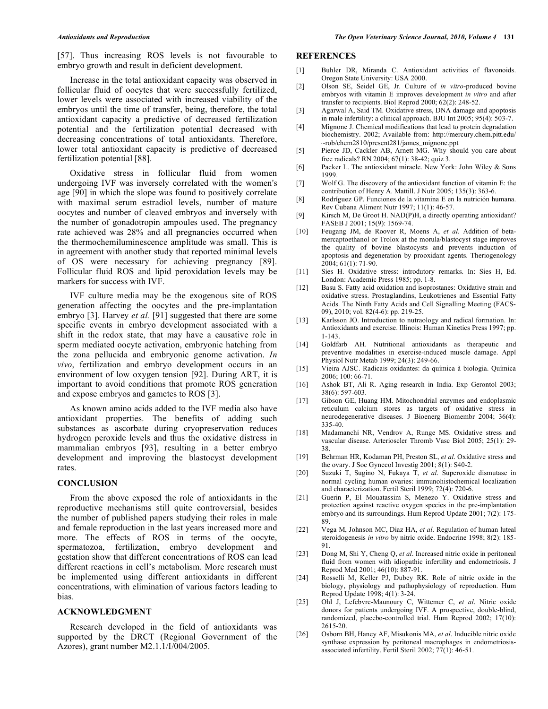[57]. Thus increasing ROS levels is not favourable to embryo growth and result in deficient development.

 Increase in the total antioxidant capacity was observed in follicular fluid of oocytes that were successfully fertilized, lower levels were associated with increased viability of the embryos until the time of transfer, being, therefore, the total antioxidant capacity a predictive of decreased fertilization potential and the fertilization potential decreased with decreasing concentrations of total antioxidants. Therefore, lower total antioxidant capacity is predictive of decreased fertilization potential [88].

 Oxidative stress in follicular fluid from women undergoing IVF was inversely correlated with the women's age [90] in which the slope was found to positively correlate with maximal serum estradiol levels, number of mature oocytes and number of cleaved embryos and inversely with the number of gonadotropin ampoules used. The pregnancy rate achieved was 28% and all pregnancies occurred when the thermochemiluminescence amplitude was small. This is in agreement with another study that reported minimal levels of OS were necessary for achieving pregnancy [89]. Follicular fluid ROS and lipid peroxidation levels may be markers for success with IVF.

 IVF culture media may be the exogenous site of ROS generation affecting the oocytes and the pre-implantation embryo [3]. Harvey *et al.* [91] suggested that there are some specific events in embryo development associated with a shift in the redox state, that may have a causative role in sperm mediated oocyte activation, embryonic hatching from the zona pellucida and embryonic genome activation. *In vivo*, fertilization and embryo development occurs in an environment of low oxygen tension [92]. During ART, it is important to avoid conditions that promote ROS generation and expose embryos and gametes to ROS [3].

 As known amino acids added to the IVF media also have antioxidant properties. The benefits of adding such substances as ascorbate during cryopreservation reduces hydrogen peroxide levels and thus the oxidative distress in mammalian embryos [93], resulting in a better embryo development and improving the blastocyst development rates.

# **CONCLUSION**

 From the above exposed the role of antioxidants in the reproductive mechanisms still quite controversial, besides the number of published papers studying their roles in male and female reproduction in the last years increased more and more. The effects of ROS in terms of the oocyte, spermatozoa, fertilization, embryo development and gestation show that different concentrations of ROS can lead different reactions in cell's metabolism. More research must be implemented using different antioxidants in different concentrations, with elimination of various factors leading to bias.

## **ACKNOWLEDGMENT**

 Research developed in the field of antioxidants was supported by the DRCT (Regional Government of the Azores), grant number M2.1.1/I/004/2005.

### **REFERENCES**

- [1] Buhler DR, Miranda C. Antioxidant activities of flavonoids. Oregon State University: USA 2000.
- [2] Olson SE, Seidel GE, Jr. Culture of *in vitro*-produced bovine embryos with vitamin E improves development *in vitro* and after transfer to recipients. Biol Reprod 2000; 62(2): 248-52.
- [3] Agarwal A, Said TM. Oxidative stress, DNA damage and apoptosis in male infertility: a clinical approach. BJU Int 2005; 95(4): 503-7.
- [4] Mignone J. Chemical modifications that lead to protein degradation biochemistry. 2002; Available from: http://mercury.chem.pitt.edu/ ~rob/chem2810/present281/james\_mignone.ppt
- [5] Pierce JD, Cackler AB, Arnett MG. Why should you care about free radicals? RN 2004; 67(1): 38-42; quiz 3.
- [6] Packer L. The antioxidant miracle. New York: John Wiley & Sons 1999.
- [7] Wolf G. The discovery of the antioxidant function of vitamin E: the contribution of Henry A. Mattill. J Nutr 2005; 135(3): 363-6.
- [8] Rodríguez GP. Funciones de la vitamina E en la nutrición humana. Rev Cubana Aliment Nutr 1997; 11(1): 46-57.
- [9] Kirsch M, De Groot H. NAD(P)H, a directly operating antioxidant? FASEB J 2001; 15(9): 1569-74.
- [10] Feugang JM, de Roover R, Moens A, *et al*. Addition of betamercaptoethanol or Trolox at the morula/blastocyst stage improves the quality of bovine blastocysts and prevents induction of apoptosis and degeneration by prooxidant agents. Theriogenology 2004; 61(1): 71-90.
- [11] Sies H. Oxidative stress: introdutory remarks. In: Sies H, Ed. London: Academic Press 1985; pp. 1-8.
- [12] Basu S. Fatty acid oxidation and isoprostanes: Oxidative strain and oxidative stress. Prostaglandins, Leukotrienes and Essential Fatty Acids. The Ninth Fatty Acids and Cell Signalling Meeting (FACS-09), 2010; vol. 82(4-6): pp. 219-25.
- [13] Karlsson JO. Introduction to nutraology and radical formation. In: Antioxidants and exercise. Illinois: Human Kinetics Press 1997; pp. 1-143.
- [14] Goldfarb AH. Nutritional antioxidants as therapeutic and preventive modalities in exercise-induced muscle damage. Appl Physiol Nutr Metab 1999; 24(3): 249-66.
- [15] Vieira AJSC. Radicais oxidantes: da química à biologia. Química 2006; 100: 66-71.
- [16] Ashok BT, Ali R. Aging research in India. Exp Gerontol 2003; 38(6): 597-603.
- [17] Gibson GE, Huang HM. Mitochondrial enzymes and endoplasmic reticulum calcium stores as targets of oxidative stress in neurodegenerative diseases. J Bioenerg Biomembr 2004; 36(4): 335-40.
- [18] Madamanchi NR, Vendrov A, Runge MS. Oxidative stress and vascular disease. Arterioscler Thromb Vasc Biol 2005; 25(1): 29- 38.
- [19] Behrman HR, Kodaman PH, Preston SL, *et al*. Oxidative stress and the ovary. J Soc Gynecol Investig 2001; 8(1): S40-2.
- [20] Suzuki T, Sugino N, Fukaya T, *et al*. Superoxide dismutase in normal cycling human ovaries: immunohistochemical localization and characterization. Fertil Steril 1999; 72(4): 720-6.
- [21] Guerin P, El Mouatassim S, Menezo Y. Oxidative stress and protection against reactive oxygen species in the pre-implantation embryo and its surroundings. Hum Reprod Update 2001; 7(2): 175- 89.
- [22] Vega M, Johnson MC, Diaz HA, *et al*. Regulation of human luteal steroidogenesis *in vitro* by nitric oxide. Endocrine 1998; 8(2): 185- 91.
- [23] Dong M, Shi Y, Cheng Q, *et al*. Increased nitric oxide in peritoneal fluid from women with idiopathic infertility and endometriosis. J Reprod Med 2001; 46(10): 887-91.
- [24] Rosselli M, Keller PJ, Dubey RK. Role of nitric oxide in the biology, physiology and pathophysiology of reproduction. Hum Reprod Update 1998; 4(1): 3-24.
- [25] Ohl J, Lefebvre-Maunoury C, Wittemer C, *et al*. Nitric oxide donors for patients undergoing IVF. A prospective, double-blind, randomized, placebo-controlled trial. Hum Reprod 2002; 17(10): 2615-20.
- [26] Osborn BH, Haney AF, Misukonis MA, *et al*. Inducible nitric oxide synthase expression by peritoneal macrophages in endometriosisassociated infertility. Fertil Steril 2002; 77(1): 46-51.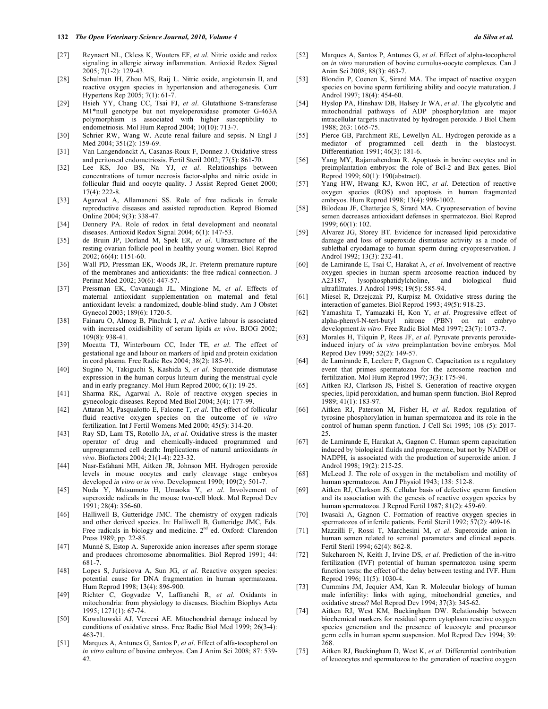- [27] Reynaert NL, Ckless K, Wouters EF, *et al*. Nitric oxide and redox signaling in allergic airway inflammation. Antioxid Redox Signal 2005; 7(1-2): 129-43.
- [28] Schulman IH, Zhou MS, Raij L. Nitric oxide, angiotensin II, and reactive oxygen species in hypertension and atherogenesis. Curr Hypertens Rep 2005; 7(1): 61-7.
- [29] Hsieh YY, Chang CC, Tsai FJ, *et al*. Glutathione S-transferase M1\*null genotype but not myeloperoxidase promoter G-463A polymorphism is associated with higher susceptibility to endometriosis. Mol Hum Reprod 2004; 10(10): 713-7.
- [30] Schrier RW, Wang W. Acute renal failure and sepsis. N Engl J Med 2004; 351(2): 159-69.
- [31] Van Langendonckt A, Casanas-Roux F, Donnez J. Oxidative stress and peritoneal endometriosis. Fertil Steril 2002; 77(5): 861-70.
- [32] Lee KS, Joo BS, Na YJ, *et al*. Relationships between concentrations of tumor necrosis factor-alpha and nitric oxide in follicular fluid and oocyte quality. J Assist Reprod Genet 2000; 17(4): 222-8.
- [33] Agarwal A, Allamaneni SS. Role of free radicals in female reproductive diseases and assisted reproduction. Reprod Biomed Online 2004; 9(3): 338-47.
- [34] Dennery PA. Role of redox in fetal development and neonatal diseases. Antioxid Redox Signal 2004; 6(1): 147-53.
- [35] de Bruin JP, Dorland M, Spek ER, *et al*. Ultrastructure of the resting ovarian follicle pool in healthy young women. Biol Reprod 2002; 66(4): 1151-60.
- [36] Wall PD, Pressman EK, Woods JR, Jr. Preterm premature rupture of the membranes and antioxidants: the free radical connection. J Perinat Med 2002; 30(6): 447-57.
- [37] Pressman EK, Cavanaugh JL, Mingione M, *et al*. Effects of maternal antioxidant supplementation on maternal and fetal antioxidant levels: a randomized, double-blind study. Am J Obstet Gynecol 2003; 189(6): 1720-5.
- [38] Fainaru O, Almog B, Pinchuk I, *et al*. Active labour is associated with increased oxidisibility of serum lipids *ex vivo*. BJOG 2002; 109(8): 938-41.
- [39] Mocatta TJ, Winterbourn CC, Inder TE, *et al*. The effect of gestational age and labour on markers of lipid and protein oxidation in cord plasma. Free Radic Res 2004; 38(2): 185-91.
- [40] Sugino N, Takiguchi S, Kashida S, *et al*. Superoxide dismutase expression in the human corpus luteum during the menstrual cycle and in early pregnancy. Mol Hum Reprod 2000; 6(1): 19-25.
- [41] Sharma RK, Agarwal A. Role of reactive oxygen species in gynecologic diseases. Reprod Med Biol 2004; 3(4): 177-99.
- [42] Attaran M, Pasqualotto E, Falcone T, *et al*. The effect of follicular fluid reactive oxygen species on the outcome of *in vitro* fertilization. Int J Fertil Womens Med 2000; 45(5): 314-20.
- [43] Ray SD, Lam TS, Rotollo JA, *et al*. Oxidative stress is the master operator of drug and chemically-induced programmed and unprogrammed cell death: Implications of natural antioxidants *in vivo*. Biofactors 2004; 21(1-4): 223-32.
- [44] Nasr-Esfahani MH, Aitken JR, Johnson MH. Hydrogen peroxide levels in mouse oocytes and early cleavage stage embryos developed *in vitro* or *in vivo*. Development 1990; 109(2): 501-7.
- [45] Noda Y, Matsumoto H, Umaoka Y, *et al*. Involvement of superoxide radicals in the mouse two-cell block. Mol Reprod Dev 1991; 28(4): 356-60.
- [46] Halliwell B, Gutteridge JMC. The chemistry of oxygen radicals and other derived species. In: Halliwell B, Gutteridge JMC, Eds. Free radicals in biology and medicine. 2<sup>nd</sup> ed. Oxford: Clarendon Press 1989; pp. 22-85.
- [47] Munné S, Estop A. Superoxide anion increases after sperm storage and produces chromosome abnormalities. Biol Reprod 1991; 44: 681-7.
- [48] Lopes S, Jurisicova A, Sun JG, *et al*. Reactive oxygen species: potential cause for DNA fragmentation in human spermatozoa. Hum Reprod 1998; 13(4): 896-900.
- [49] Richter C, Gogvadze V, Laffranchi R, *et al*. Oxidants in mitochondria: from physiology to diseases. Biochim Biophys Acta 1995; 1271(1): 67-74.
- [50] Kowaltowski AJ, Vercesi AE. Mitochondrial damage induced by conditions of oxidative stress. Free Radic Biol Med 1999; 26(3-4): 463-71.
- [51] Marques A, Antunes G, Santos P, *et al*. Effect of alfa-tocopherol on *in vitro* culture of bovine embryos. Can J Anim Sci 2008; 87: 539- 42.
- [52] Marques A, Santos P, Antunes G, *et al*. Effect of alpha-tocopherol on *in vitro* maturation of bovine cumulus-oocyte complexes. Can J Anim Sci 2008; 88(3): 463-7.
- [53] Blondin P, Coenen K, Sirard MA. The impact of reactive oxygen species on bovine sperm fertilizing ability and oocyte maturation. J Androl 1997; 18(4): 454-60.
- [54] Hyslop PA, Hinshaw DB, Halsey Jr WA, *et al*. The glycolytic and mitochondrial pathways of ADP phosphorylation are major intracellular targets inactivated by hydrogen peroxide. J Biol Chem 1988; 263: 1665-75.
- [55] Pierce GB, Parchment RE, Lewellyn AL. Hydrogen peroxide as a mediator of programmed cell death in the blastocyst. Differentiation 1991; 46(3): 181-6.
- [56] Yang MY, Rajamahendran R. Apoptosis in bovine oocytes and in preimplantation embryos: the role of Bcl-2 and Bax genes. Biol Reprod 1999; 60(1): 190(abstract).
- [57] Yang HW, Hwang KJ, Kwon HC, *et al*. Detection of reactive oxygen species (ROS) and apoptosis in human fragmented embryos. Hum Reprod 1998; 13(4): 998-1002.
- [58] Bilodeau JF, Chatterjee S, Sirard MA. Cryopreservation of bovine semen decreases antioxidant defenses in spermatozoa. Biol Reprod 1999; 60(1): 102.
- [59] Alvarez JG, Storey BT. Evidence for increased lipid peroxidative damage and loss of superoxide dismutase activity as a mode of sublethal cryodamage to human sperm during cryopreservation. J Androl 1992; 13(3): 232-41.
- [60] de Lamirande E, Tsai C, Harakat A, *et al*. Involvement of reactive oxygen species in human sperm arcosome reaction induced by A23187, lysophosphatidylcholine, and biological fluid ultrafiltrates. J Androl 1998; 19(5): 585-94.
- [61] Miesel R, Drzejczak PJ, Kurpisz M. Oxidative stress during the interaction of gametes. Biol Reprod 1993; 49(5): 918-23.
- [62] Yamashita T, Yamazaki H, Kon Y, *et al*. Progressive effect of alpha-phenyl-N-tert-butyl nitrone (PBN) on rat embryo development *in vitro*. Free Radic Biol Med 1997; 23(7): 1073-7.
- [63] Morales H, Tilquin P, Rees JF, *et al*. Pyruvate prevents peroxideinduced injury of *in vitro* preimplantation bovine embryos. Mol Reprod Dev 1999; 52(2): 149-57.
- [64] de Lamirande E, Leclerc P, Gagnon C. Capacitation as a regulatory event that primes spermatozoa for the acrosome reaction and fertilization. Mol Hum Reprod 1997; 3(3): 175-94.
- [65] Aitken RJ, Clarkson JS, Fishel S. Generation of reactive oxygen species, lipid peroxidation, and human sperm function. Biol Reprod 1989; 41(1): 183-97.
- [66] Aitken RJ, Paterson M, Fisher H, *et al*. Redox regulation of tyrosine phosphorylation in human spermatozoa and its role in the control of human sperm function. J Cell Sci 1995; 108 (5): 2017- 25.
- [67] de Lamirande E, Harakat A, Gagnon C. Human sperm capacitation induced by biological fluids and progesterone, but not by NADH or NADPH, is associated with the production of superoxide anion. J Androl 1998; 19(2): 215-25.
- [68] McLeod J. The role of oxygen in the metabolism and motility of human spermatozoa. Am J Physiol 1943; 138: 512-8.
- [69] Aitken RJ, Clarkson JS. Cellular basis of defective sperm function and its association with the genesis of reactive oxygen species by human spermatozoa. J Reprod Fertil 1987; 81(2): 459-69.
- [70] Iwasaki A, Gagnon C. Formation of reactive oxygen species in spermatozoa of infertile patients. Fertil Steril 1992; 57(2): 409-16.
- [71] Mazzilli F, Rossi T, Marchesini M, *et al*. Superoxide anion in human semen related to seminal parameters and clinical aspects. Fertil Steril 1994; 62(4): 862-8.
- [72] Sukcharoen N, Keith J, Irvine DS, *et al*. Prediction of the in-vitro fertilization (IVF) potential of human spermatozoa using sperm function tests: the effect of the delay between testing and IVF. Hum Reprod 1996; 11(5): 1030-4.
- [73] Cummins JM, Jequier AM, Kan R. Molecular biology of human male infertility: links with aging, mitochondrial genetics, and oxidative stress? Mol Reprod Dev 1994; 37(3): 345-62.
- [74] Aitken RJ, West KM, Buckingham DW. Relationship between biochemical markers for residual sperm cytoplasm reactive oxygen species generation and the presence of leucocyte and precursor germ cells in human sperm suspension. Mol Reprod Dev 1994; 39: 268.
- [75] Aitken RJ, Buckingham D, West K, *et al*. Differential contribution of leucocytes and spermatozoa to the generation of reactive oxygen